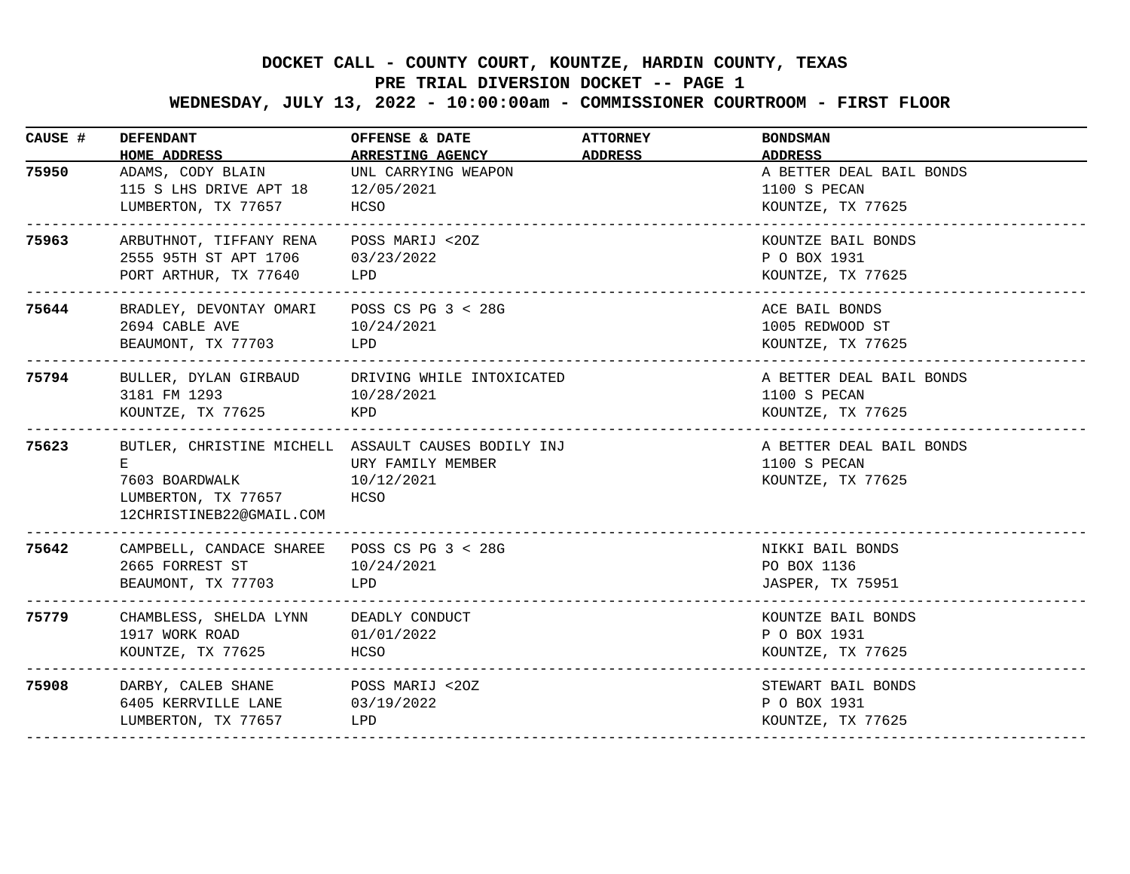# **PRE TRIAL DIVERSION DOCKET -- PAGE 1**

 **WEDNESDAY, JULY 13, 2022 - 10:00:00am - COMMISSIONER COURTROOM - FIRST FLOOR**

| CAUSE # | <b>DEFENDANT</b><br>HOME ADDRESS                                                                       | OFFENSE & DATE<br><b>ARRESTING AGENCY</b>                                                      | <b>ATTORNEY</b><br>ADDRESS | <b>BONDSMAN</b><br><b>ADDRESS</b>                                              |
|---------|--------------------------------------------------------------------------------------------------------|------------------------------------------------------------------------------------------------|----------------------------|--------------------------------------------------------------------------------|
| 75950   | ADAMS, CODY BLAIN<br>115 S LHS DRIVE APT 18 12/05/2021<br>LUMBERTON, TX 77657 HCSO<br>---------------- | UNL CARRYING WEAPON                                                                            |                            | A BETTER DEAL BAIL BONDS<br>1100 S PECAN<br>KOUNTZE, TX 77625<br>------------- |
| 75963   | ARBUTHNOT, TIFFANY RENA<br>2555 95TH ST APT 1706 03/23/2022<br>PORT ARTHUR, TX 77640                   | POSS MARIJ <20Z<br>LPD                                                                         |                            | KOUNTZE BAIL BONDS<br>P O BOX 1931<br>KOUNTZE, TX 77625                        |
| 75644   | BRADLEY, DEVONTAY OMARI POSS CS PG 3 < 28G<br>2694 CABLE AVE<br>BEAUMONT, TX 77703                     | 10/24/2021<br>LPD                                                                              |                            | ACE BAIL BONDS<br>1005 REDWOOD ST<br>KOUNTZE, TX 77625                         |
| 75794   | BULLER, DYLAN GIRBAUD DRIVING WHILE INTOXICATED<br>3181 FM 1293 10/28/2021<br>KOUNTZE, TX 77625        | KPD                                                                                            |                            | A BETTER DEAL BAIL BONDS<br>1100 S PECAN<br>KOUNTZE, TX 77625                  |
| 75623   | Е.<br>7603 BOARDWALK<br>LUMBERTON, TX 77657<br>12CHRISTINEB22@GMAIL.COM                                | BUTLER, CHRISTINE MICHELL ASSAULT CAUSES BODILY INJ<br>URY FAMILY MEMBER<br>10/12/2021<br>HCSO |                            | A BETTER DEAL BAIL BONDS<br>1100 S PECAN<br>KOUNTZE, TX 77625                  |
| 75642   | CAMPBELL, CANDACE SHAREE POSS CS PG 3 < 28G<br>2665 FORREST ST<br>BEAUMONT, TX 77703                   | 10/24/2021<br>LPD                                                                              |                            | NIKKI BAIL BONDS<br>PO BOX 1136<br>JASPER, TX 75951                            |
| 75779   | CHAMBLESS, SHELDA LYNN DEADLY CONDUCT<br>1917 WORK ROAD 01/01/2022<br>KOUNTZE, TX 77625                | HCSO                                                                                           |                            | KOUNTZE BAIL BONDS<br>P O BOX 1931<br>KOUNTZE, TX 77625                        |
| 75908   | DARBY, CALEB SHANE POSS MARIJ <20Z<br>6405 KERRVILLE LANE<br>LUMBERTON, TX 77657                       | 03/19/2022<br>LPD                                                                              |                            | STEWART BAIL BONDS<br>P O BOX 1931<br>KOUNTZE, TX 77625                        |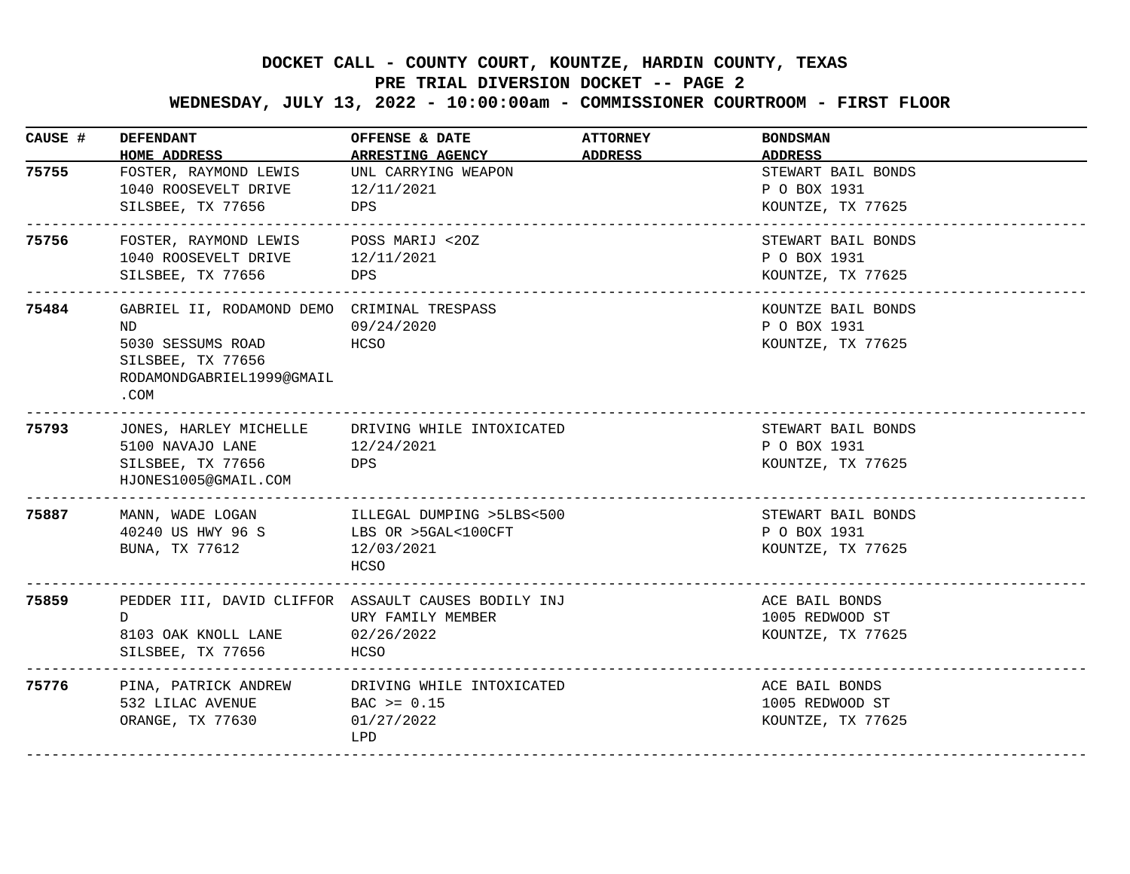# **PRE TRIAL DIVERSION DOCKET -- PAGE 2**

 **WEDNESDAY, JULY 13, 2022 - 10:00:00am - COMMISSIONER COURTROOM - FIRST FLOOR**

| CAUSE # | <b>DEFENDANT</b><br>HOME ADDRESS                                                                                                 | OFFENSE & DATE<br><b>ARRESTING AGENCY</b>                        | <b>ATTORNEY</b><br>ADDRESS | <b>BONDSMAN</b><br><b>ADDRESS</b>                       |
|---------|----------------------------------------------------------------------------------------------------------------------------------|------------------------------------------------------------------|----------------------------|---------------------------------------------------------|
| 75755   | FOSTER, RAYMOND LEWIS<br>1040 ROOSEVELT DRIVE<br>SILSBEE, TX 77656<br><b>Example 19</b> DPS<br>---------------------------       | UNL CARRYING WEAPON<br>12/11/2021                                |                            | STEWART BAIL BONDS<br>P O BOX 1931<br>KOUNTZE, TX 77625 |
| 75756   | FOSTER, RAYMOND LEWIS POSS MARIJ <20Z<br>1040 ROOSEVELT DRIVE<br>SILSBEE, TX 77656                                               | 12/11/2021<br>DPS                                                |                            | STEWART BAIL BONDS<br>P O BOX 1931<br>KOUNTZE, TX 77625 |
| 75484   | GABRIEL II, RODAMOND DEMO CRIMINAL TRESPASS<br>ND<br>5030 SESSUMS ROAD<br>SILSBEE, TX 77656<br>RODAMONDGABRIEL1999@GMAIL<br>.COM | 09/24/2020<br>HCSO                                               |                            | KOUNTZE BAIL BONDS<br>P O BOX 1931<br>KOUNTZE, TX 77625 |
| 75793   | JONES, HARLEY MICHELLE<br>5100 NAVAJO LANE<br>SILSBEE, TX 77656<br>HJONES1005@GMAIL.COM<br><u>______________________</u> __      | DRIVING WHILE INTOXICATED<br>12/24/2021<br>DPS                   |                            | STEWART BAIL BONDS<br>P O BOX 1931<br>KOUNTZE, TX 77625 |
| 75887   | MANN, WADE LOGAN       ILLEGAL DUMPING >5LBS<500<br>40240 US HWY 96 S<br>BUNA, TX 77612                                          | LBS OR >5GAL<100CFT<br>12/03/2021<br><b>HCSO</b>                 |                            | STEWART BAIL BONDS<br>P O BOX 1931<br>KOUNTZE, TX 77625 |
| 75859   | PEDDER III, DAVID CLIFFOR ASSAULT CAUSES BODILY INJ<br>D.<br>8103 OAK KNOLL LANE<br>SILSBEE, TX 77656                            | URY FAMILY MEMBER<br>02/26/2022<br>HCSO                          |                            | ACE BAIL BONDS<br>1005 REDWOOD ST<br>KOUNTZE, TX 77625  |
| 75776   | PINA, PATRICK ANDREW<br>532 LILAC AVENUE<br>ORANGE, TX 77630                                                                     | DRIVING WHILE INTOXICATED<br>$BAC > = 0.15$<br>01/27/2022<br>LPD |                            | ACE BAIL BONDS<br>1005 REDWOOD ST<br>KOUNTZE, TX 77625  |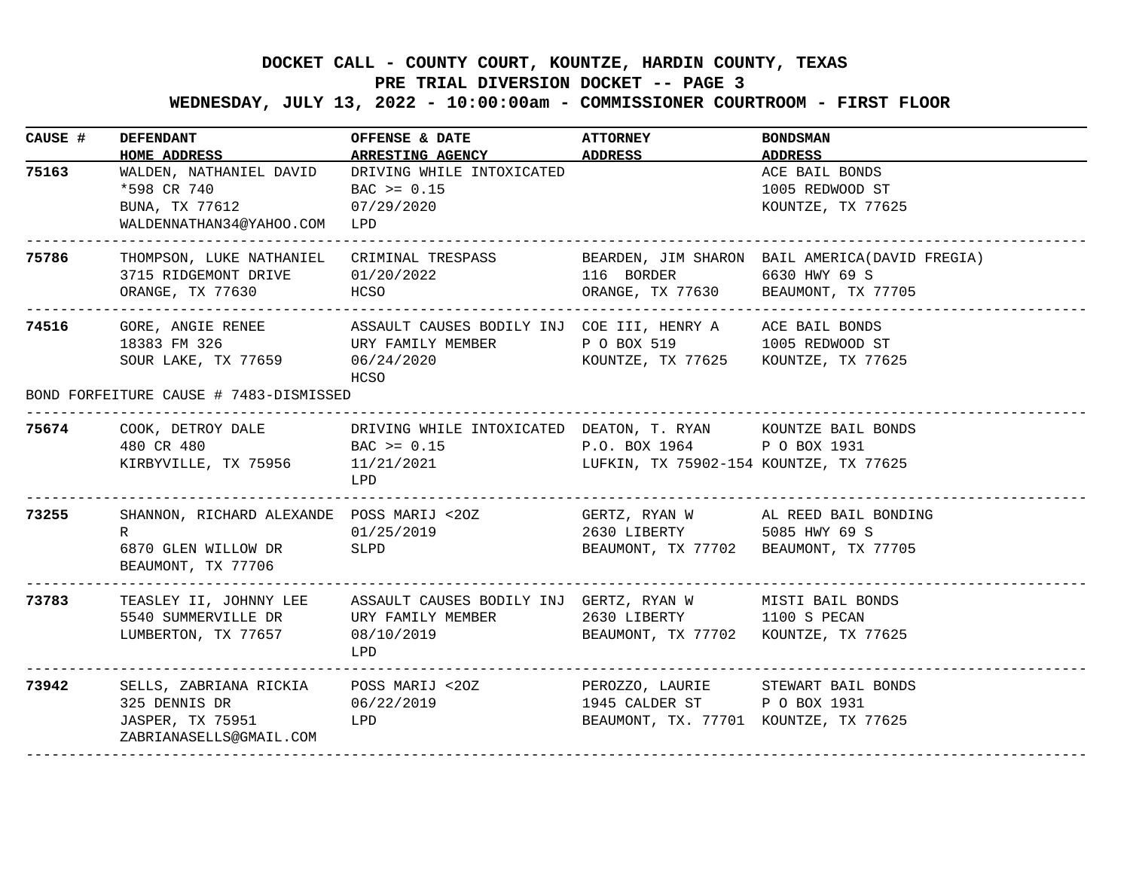# **PRE TRIAL DIVERSION DOCKET -- PAGE 3**

 **WEDNESDAY, JULY 13, 2022 - 10:00:00am - COMMISSIONER COURTROOM - FIRST FLOOR**

| CAUSE # | <b>DEFENDANT</b>                                                                                                             | OFFENSE & DATE<br>HOME ADDRESS ARRESTING AGENCY ADDRESS                                                                                                            | <b>ATTORNEY</b>                                                      | <b>BONDSMAN</b><br>ADDRESS                             |
|---------|------------------------------------------------------------------------------------------------------------------------------|--------------------------------------------------------------------------------------------------------------------------------------------------------------------|----------------------------------------------------------------------|--------------------------------------------------------|
| 75163   | WALDEN, NATHANIEL DAVID<br>*598 CR 740<br>BUNA, TX 77612<br>WALDENNATHAN34@YAHOO.COM LPD<br>-------------------------------- | DRIVING WHILE INTOXICATED<br>$BAC \ge 0.15$<br>07/29/2020                                                                                                          |                                                                      | ACE BAIL BONDS<br>1005 REDWOOD ST<br>KOUNTZE, TX 77625 |
| 75786   | THOMPSON, LUKE NATHANIEL CRIMINAL TRESPASS<br>3715 RIDGEMONT DRIVE 01/20/2022<br>HCSO<br>ORANGE, TX 77630                    |                                                                                                                                                                    | 116 BORDER 6630 HWY 69 S<br>ORANGE, TX 77630 BEAUMONT, TX 77705      | BEARDEN, JIM SHARON BAIL AMERICA (DAVID FREGIA)        |
| 74516   | 18383 FM 326<br>SOUR LAKE, TX 77659 06/24/2020<br>BOND FORFEITURE CAUSE # 7483-DISMISSED                                     | GORE, ANGIE RENEE ASSAULT CAUSES BODILY INJ COE III, HENRY A ACE BAIL BONDS<br>URY FAMILY MEMBER TO BOX 519 1005 REDWOOD ST<br>HCSO                                | KOUNTZE, TX 77625 KOUNTZE, TX 77625                                  |                                                        |
|         | 75674 COOK, DETROY DALE DRIVING WHILE INTOXICATED DEATON, T. RYAN KOUNTZE BAIL BONDS<br>480 CR 480                           | $BAC > = 0.15$<br>KIRBYVILLE, TX 75956 11/21/2021 LUFKIN, TX 75902-154 KOUNTZE, TX 77625<br>LPD                                                                    | P.O. BOX 1964 PO BOX 1931                                            |                                                        |
| 73255   | R<br>6870 GLEN WILLOW DR SLPD<br>BEAUMONT, TX 77706                                                                          | SHANNON, RICHARD ALEXANDE POSS MARIJ <20Z            GERTZ, RYAN W       AL REED BAIL BONDING<br>01/25/2019                                                        | 2630 LIBERTY 5085 HWY 69 S<br>BEAUMONT, TX 77702 BEAUMONT, TX 77705  |                                                        |
| 73783   | LUMBERTON, TX 77657 08/10/2019<br>___________________________                                                                | TEASLEY II, JOHNNY LEE ASSAULT CAUSES BODILY INJ GERTZ, RYAN W MISTI BAIL BONDS<br>5540 SUMMERVILLE DR         URY FAMILY MEMBER               2630 LIBERTY<br>LPD | BEAUMONT, TX 77702 KOUNTZE, TX 77625                                 | 1100 S PECAN                                           |
| 73942   | 06/22/2019<br>325 DENNIS DR<br>JASPER, TX 75951<br>ZABRIANASELLS@GMAIL.COM                                                   | SELLS, ZABRIANA RICKIA POSS MARIJ <20Z     PEROZZO, LAURIE     STEWART BAIL BONDS<br>LPD                                                                           | 1945 CALDER ST P O BOX 1931<br>BEAUMONT, TX. 77701 KOUNTZE, TX 77625 |                                                        |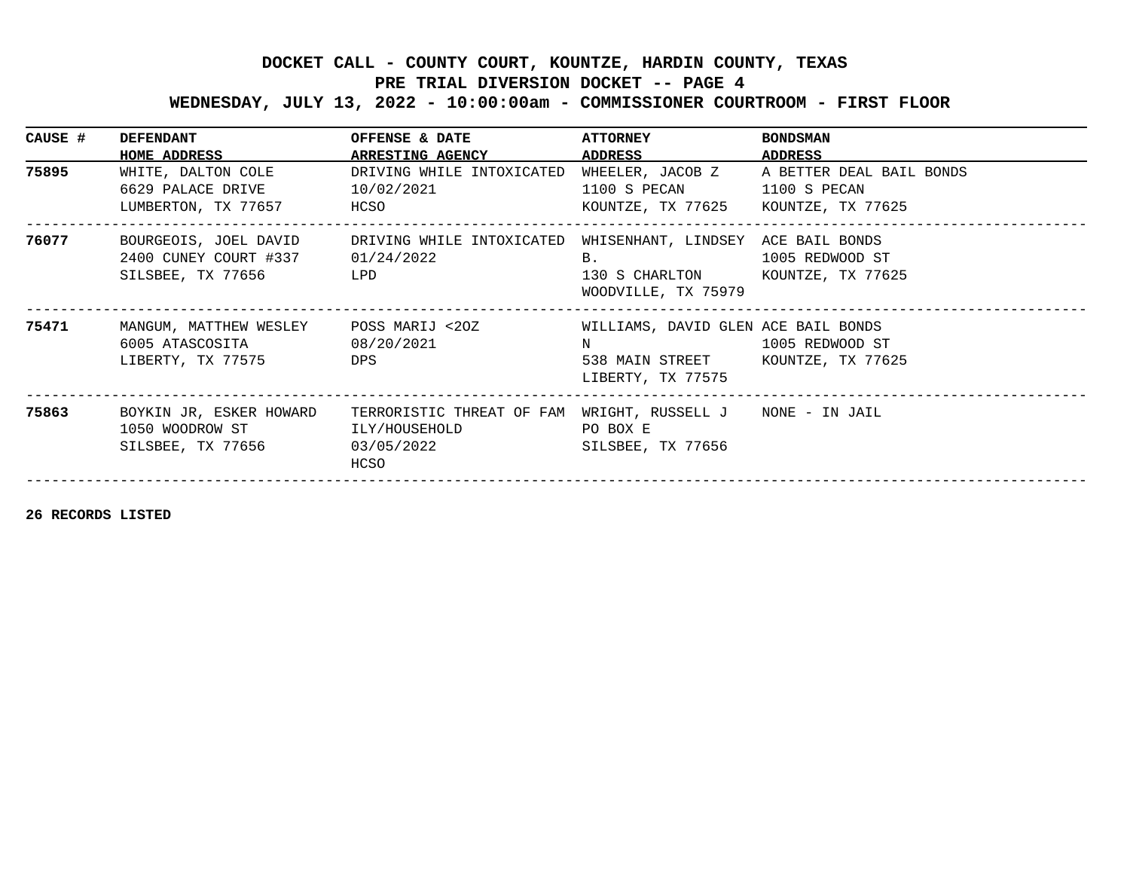# **PRE TRIAL DIVERSION DOCKET -- PAGE 4**

 **WEDNESDAY, JULY 13, 2022 - 10:00:00am - COMMISSIONER COURTROOM - FIRST FLOOR**

| CAUSE # | <b>DEFENDANT</b><br>HOME ADDRESS                      | OFFENSE & DATE<br><b>ARRESTING AGENCY</b>                                                                                       | <b>ATTORNEY</b><br>ADDRESS ADDRESS                                                                                 | <b>BONDSMAN</b><br>ADDRESS |
|---------|-------------------------------------------------------|---------------------------------------------------------------------------------------------------------------------------------|--------------------------------------------------------------------------------------------------------------------|----------------------------|
| 75895   | WHITE, DALTON COLE                                    | DRIVING WHILE INTOXICATED WHEELER, JACOB Z A BETTER DEAL BAIL BONDS<br>6629 PALACE DRIVE 10/02/2021<br>LUMBERTON, TX 77657 HCSO | 1100 S PECAN 1100 S PECAN<br>KOUNTZE, TX 77625 KOUNTZE, TX 77625                                                   |                            |
| 76077   | 2400 CUNEY COURT #337 01/24/2022<br>SILSBEE, TX 77656 | BOURGEOIS, JOEL DAVID DRIVING WHILE INTOXICATED WHISENHANT, LINDSEY ACE BAIL BONDS<br>LPD                                       | $\mathbf{B}$ .<br>130 S CHARLTON KOUNTZE, TX 77625<br>WOODVILLE, TX 75979                                          | 1005 REDWOOD ST            |
| 75471   | 6005 ATASCOSITA 08/20/2021<br>LIBERTY, TX 77575       | MANGUM, MATTHEW WESLEY     POSS MARIJ <20Z<br><b>DPS</b>                                                                        | WILLIAMS, DAVID GLEN ACE BAIL BONDS<br>N 1005 REDWOOD ST<br>538 MAIN STREET KOUNTZE, TX 77625<br>LIBERTY, TX 77575 |                            |
| 75863   | 1050 WOODROW ST ILY/HOUSEHOLD<br>SILSBEE, TX 77656    | BOYKIN JR, ESKER HOWARD TERRORISTIC THREAT OF FAM WRIGHT, RUSSELL J NONE - IN JAIL<br>03/05/2022 2020<br>HCSO                   | PO BOX E<br>SILSBEE, TX 77656                                                                                      |                            |

**26 RECORDS LISTED**